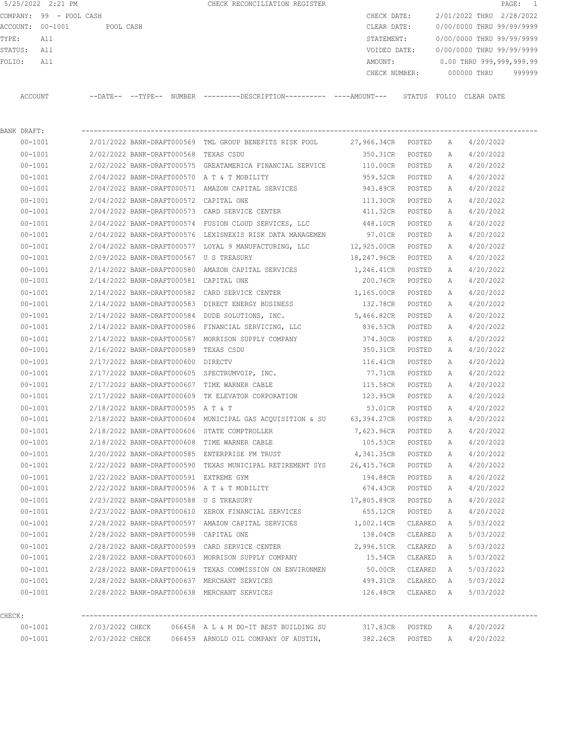5/25/2022 2:21 PM CHECK RECONCILIATION REGISTER PAGE: 1 COMPANY: 99 - POOL CASH CHECK DATE: 2/01/2022 THRU 2/28/2022 ACCOUNT: 00-1001 POOL CASH CLEAR DATE: 0/00/0000 THRU 99/99/9999 TYPE: All STATEMENT: 0/00/0000 THRU 99/99/9999 STATUS: All VOIDED DATE: 0/00/0000 THRU 99/99/9999 FOLIO: All AMOUNT: 0.00 THRU 999,999,999.99 CHECK NUMBER: 000000 THRU 999999 ACCOUNT --DATE-- --TYPE-- NUMBER ---------DESCRIPTION---------- ----AMOUNT--- STATUS FOLIO CLEAR DATE

BANK DRAFT: ---------------------------------------------------------------------------------------------------------------- 00-1001 2/01/2022 BANK-DRAFT000569 TML GROUP BENEFITS RISK POOL 27,966.34CR POSTED A 4/20/2022 00-1001 2/02/2022 BANK-DRAFT000568 TEXAS CSDU 350.31CR POSTED A 4/20/2022 00-1001 2/02/2022 BANK-DRAFT000575 GREATAMERICA FINANCIAL SERVICE 110.00CR POSTED A 4/20/2022 00-1001 2/04/2022 BANK-DRAFT000570 A T & T MOBILITY 959.52CR POSTED A 4/20/2022 00-1001 2/04/2022 BANK-DRAFT000571 AMAZON CAPITAL SERVICES 943.89CR POSTED A 4/20/2022 00-1001 2/04/2022 BANK-DRAFT000572 CAPITAL ONE 113.30CR POSTED A 4/20/2022 00-1001 2/04/2022 BANK-DRAFT000573 CARD SERVICE CENTER 411.32CR POSTED A 4/20/2022 00-1001 2/04/2022 BANK-DRAFT000574 FUSION CLOUD SERVICES, LLC 448.10CR POSTED A 4/20/2022 00-1001 2/04/2022 BANK-DRAFT000576 LEXISNEXIS RISK DATA MANAGEMEN 97.01CR POSTED A 4/20/2022 00-1001 2/04/2022 BANK-DRAFT000577 LOYAL 9 MANUFACTURING, LLC 12,925.00CR POSTED A 4/20/2022 00-1001 2/09/2022 BANK-DRAFT000567 U S TREASURY 18,247.96CR POSTED A 4/20/2022 00-1001 2/14/2022 BANK-DRAFT000580 AMAZON CAPITAL SERVICES 1,246.41CR POSTED A 4/20/2022 00-1001 2/14/2022 BANK-DRAFT000581 CAPITAL ONE 200.76CR POSTED A 4/20/2022 00-1001 2/14/2022 BANK-DRAFT000582 CARD SERVICE CENTER 1,165.00CR POSTED A 4/20/2022 00-1001 2/14/2022 BANK-DRAFT000583 DIRECT ENERGY BUSINESS 132.78CR POSTED A 4/20/2022 00-1001 2/14/2022 BANK-DRAFT000584 DUDE SOLUTIONS, INC. 5,466.82CR POSTED A 4/20/2022 00-1001 2/14/2022 BANK-DRAFT000586 FINANCIAL SERVICING, LLC 836.53CR POSTED A 4/20/2022 00-1001 2/14/2022 BANK-DRAFT000587 MORRISON SUPPLY COMPANY 374.30CR POSTED A 4/20/2022 00-1001 2/16/2022 BANK-DRAFT000589 TEXAS CSDU 350.31CR POSTED A 4/20/2022 00-1001 2/17/2022 BANK-DRAFT000600 DIRECTV 116.41CR POSTED A 4/20/2022 00-1001 2/17/2022 BANK-DRAFT000605 SPECTRUMVOIP, INC. 77.71CR POSTED A 4/20/2022 00-1001 2/17/2022 BANK-DRAFT000607 TIME WARNER CABLE 115.58CR POSTED A 4/20/2022 00-1001 2/17/2022 BANK-DRAFT000609 TK ELEVATOR CORPORATION 123.95CR POSTED A 4/20/2022 00-1001 2/18/2022 BANK-DRAFT000595 A T & T 53.01CR POSTED A 4/20/2022 00-1001 2/18/2022 BANK-DRAFT000604 MUNICIPAL GAS ACQUISITION & SU 63,394.27CR POSTED A 4/20/2022 00-1001 2/18/2022 BANK-DRAFT000606 STATE COMPTROLLER 7,623.96CR POSTED A 4/20/2022 00-1001 2/18/2022 BANK-DRAFT000608 TIME WARNER CABLE 105.53CR POSTED A 4/20/2022 00-1001 2/20/2022 BANK-DRAFT000585 ENTERPRISE FM TRUST 4,341.35CR POSTED A 4/20/2022 00-1001 2/22/2022 BANK-DRAFT000590 TEXAS MUNICIPAL RETIREMENT SYS 26,415.76CR POSTED A 4/20/2022 00-1001 2/22/2022 BANK-DRAFT000591 EXTREME GYM 194.88CR POSTED A 4/20/2022 00-1001 2/22/2022 BANK-DRAFT000596 A T & T MOBILITY 674.43CR POSTED A 4/20/2022 00-1001 2/23/2022 BANK-DRAFT000588 U S TREASURY 17,805.89CR POSTED A 4/20/2022 00-1001 2/23/2022 BANK-DRAFT000610 XEROX FINANCIAL SERVICES 655.12CR POSTED A 4/20/2022 00-1001 2/28/2022 BANK-DRAFT000597 AMAZON CAPITAL SERVICES 1,002.14CR CLEARED A 5/03/2022 00-1001 2/28/2022 BANK-DRAFT000598 CAPITAL ONE 138.04CR CLEARED A 5/03/2022 00-1001 2/28/2022 BANK-DRAFT000599 CARD SERVICE CENTER 2,996.51CR CLEARED A 5/03/2022 00-1001 2/28/2022 BANK-DRAFT000603 MORRISON SUPPLY COMPANY 15.54CR CLEARED A 5/03/2022 00-1001 2/28/2022 BANK-DRAFT000619 TEXAS COMMISSION ON ENVIRONMEN 50.00CR CLEARED A 5/03/2022 00-1001 2/28/2022 BANK-DRAFT000637 MERCHANT SERVICES 499.31CR CLEARED A 5/03/2022 00-1001 2/28/2022 BANK-DRAFT000638 MERCHANT SERVICES 126.48CR CLEARED A 5/03/2022 CHECK: ---------------------------------------------------------------------------------------------------------------- 00-1001 2/03/2022 CHECK 066458 A L & M DO-IT BEST BUILDING SU 317.83CR POSTED A 4/20/2022

00-1001 2/03/2022 CHECK 066459 ARNOLD OIL COMPANY OF AUSTIN, 382.26CR POSTED A 4/20/2022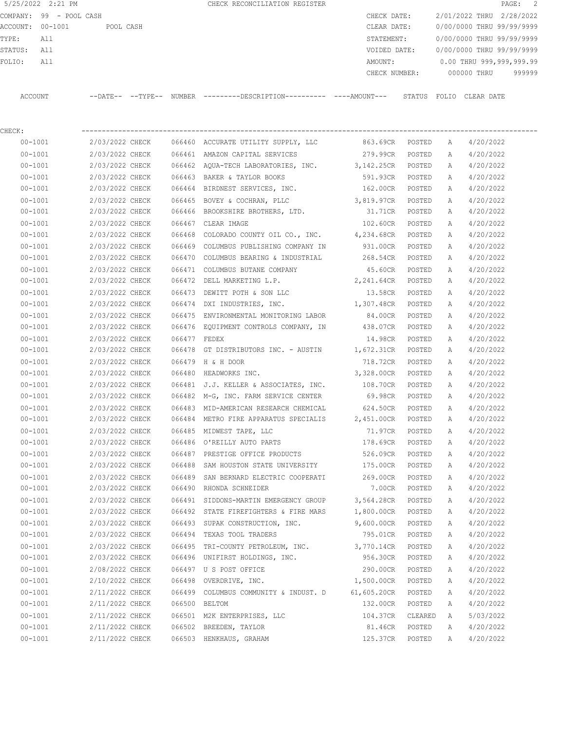|                  | 5/25/2022 2:21 PM       |                          |  | CHECK RECONCILIATION REGISTER                |               |        |                           |             | PAGE: 2 |        |
|------------------|-------------------------|--------------------------|--|----------------------------------------------|---------------|--------|---------------------------|-------------|---------|--------|
|                  | COMPANY: 99 - POOL CASH |                          |  |                                              | CHECK DATE:   |        | 2/01/2022 THRU 2/28/2022  |             |         |        |
| ACCOUNT: 00-1001 |                         | POOL CASH                |  |                                              | CLEAR DATE:   |        | 0/00/0000 THRU 99/99/9999 |             |         |        |
| TYPE:            | All                     |                          |  |                                              | STATEMENT:    |        | 0/00/0000 THRU 99/99/9999 |             |         |        |
| STATUS:          | All                     |                          |  |                                              | VOIDED DATE:  |        | 0/00/0000 THRU 99/99/9999 |             |         |        |
| FOLIO:           | All                     |                          |  |                                              | AMOUNT:       |        | 0.00 THRU 999,999,999.99  |             |         |        |
|                  |                         |                          |  |                                              | CHECK NUMBER: |        |                           | 000000 THRU |         | 999999 |
|                  |                         |                          |  |                                              |               |        |                           |             |         |        |
| ACCOUNT          |                         | --DATE-- --TYPE-- NUMBER |  | ---------DESCRIPTION---------- ----AMOUNT--- |               | STATUS | FOLIO CLEAR DATE          |             |         |        |

| $\cdots$ |  |  |
|----------|--|--|

CHECK: ---------------------------------------------------------------------------------------------------------------- 00-1001 2/03/2022 CHECK 066460 ACCURATE UTILITY SUPPLY, LLC 863.69CR POSTED A 4/20/2022 00-1001 2/03/2022 CHECK 066461 AMAZON CAPITAL SERVICES 279.99CR POSTED A 4/20/2022 00-1001 2/03/2022 CHECK 066462 AQUA-TECH LABORATORIES, INC. 3,142.25CR POSTED A 4/20/2022 00-1001 2/03/2022 CHECK 066463 BAKER & TAYLOR BOOKS 591.93CR POSTED A 4/20/2022 00-1001 2/03/2022 CHECK 066464 BIRDNEST SERVICES, INC. 162.00CR POSTED A 4/20/2022 00-1001 2/03/2022 CHECK 066465 BOVEY & COCHRAN, PLLC 3,819.97CR POSTED A 4/20/2022 00-1001 2/03/2022 CHECK 066466 BROOKSHIRE BROTHERS, LTD. 31.71CR POSTED A 4/20/2022 00-1001 2/03/2022 CHECK 066467 CLEAR IMAGE 102.60CR POSTED A 4/20/2022 00-1001 2/03/2022 CHECK 066468 COLORADO COUNTY OIL CO., INC. 4,234.68CR POSTED A 4/20/2022 00-1001 2/03/2022 CHECK 066469 COLUMBUS PUBLISHING COMPANY IN 931.00CR POSTED A 4/20/2022 00-1001 2/03/2022 CHECK 066470 COLUMBUS BEARING & INDUSTRIAL 268.54CR POSTED A 4/20/2022 00-1001 2/03/2022 CHECK 066471 COLUMBUS BUTANE COMPANY 45.60CR POSTED A 4/20/2022 00-1001 2/03/2022 CHECK 066472 DELL MARKETING L.P. 2,241.64CR POSTED A 4/20/2022 00-1001 2/03/2022 CHECK 066473 DEWITT POTH & SON LLC 13.58CR POSTED A 4/20/2022 00-1001 2/03/2022 CHECK 066474 DXI INDUSTRIES, INC. 1,307.48CR POSTED A 4/20/2022 00-1001 2/03/2022 CHECK 066475 ENVIRONMENTAL MONITORING LABOR 84.00CR POSTED A 4/20/2022 00-1001 2/03/2022 CHECK 066476 EQUIPMENT CONTROLS COMPANY, IN 438.07CR POSTED A 4/20/2022 00-1001 2/03/2022 CHECK 066477 FEDEX 14.98CR POSTED A 4/20/2022 00-1001 2/03/2022 CHECK 066478 GT DISTRIBUTORS INC. - AUSTIN 1,672.31CR POSTED A 4/20/2022 00-1001 2/03/2022 CHECK 066479 H & H DOOR 718.72CR POSTED A 4/20/2022 00-1001 2/03/2022 CHECK 066480 HEADWORKS INC. 3,328.00CR POSTED A 4/20/2022 00-1001 2/03/2022 CHECK 066481 J.J. KELLER & ASSOCIATES, INC. 108.70CR POSTED A 4/20/2022 00-1001 2/03/2022 CHECK 066482 M-G, INC. FARM SERVICE CENTER 69.98CR POSTED A 4/20/2022 00-1001 2/03/2022 CHECK 066483 MID-AMERICAN RESEARCH CHEMICAL 624.50CR POSTED A 4/20/2022 00-1001 2/03/2022 CHECK 066484 METRO FIRE APPARATUS SPECIALIS 2,451.00CR POSTED A 4/20/2022 00-1001 2/03/2022 CHECK 066485 MIDWEST TAPE, LLC 71.97CR POSTED A 4/20/2022

 00-1001 2/03/2022 CHECK 066486 O'REILLY AUTO PARTS 178.69CR POSTED A 4/20/2022 00-1001 2/03/2022 CHECK 066487 PRESTIGE OFFICE PRODUCTS 526.09CR POSTED A 4/20/2022 00-1001 2/03/2022 CHECK 066488 SAM HOUSTON STATE UNIVERSITY 175.00CR POSTED A 4/20/2022 00-1001 2/03/2022 CHECK 066489 SAN BERNARD ELECTRIC COOPERATI 269.00CR POSTED A 4/20/2022 00-1001 2/03/2022 CHECK 066490 RHONDA SCHNEIDER 7.00CR POSTED A 4/20/2022 00-1001 2/03/2022 CHECK 066491 SIDDONS-MARTIN EMERGENCY GROUP 3,564.28CR POSTED A 4/20/2022 00-1001 2/03/2022 CHECK 066492 STATE FIREFIGHTERS & FIRE MARS 1,800.00CR POSTED A 4/20/2022 00-1001 2/03/2022 CHECK 066493 SUPAK CONSTRUCTION, INC. 9,600.00CR POSTED A 4/20/2022 00-1001 2/03/2022 CHECK 066494 TEXAS TOOL TRADERS 795.01CR POSTED A 4/20/2022 00-1001 2/03/2022 CHECK 066495 TRI-COUNTY PETROLEUM, INC. 3,770.14CR POSTED A 4/20/2022 00-1001 2/03/2022 CHECK 066496 UNIFIRST HOLDINGS, INC. 956.30CR POSTED A 4/20/2022 00-1001 2/08/2022 CHECK 066497 U S POST OFFICE 290.00CR POSTED A 4/20/2022 00-1001 2/10/2022 CHECK 066498 OVERDRIVE, INC. 1,500.00CR POSTED A 4/20/2022 00-1001 2/11/2022 CHECK 066499 COLUMBUS COMMUNITY & INDUST. D 61,605.20CR POSTED A 4/20/2022 00-1001 2/11/2022 CHECK 066500 BELTOM 132.00CR POSTED A 4/20/2022 00-1001 2/11/2022 CHECK 066501 M2K ENTERPRISES, LLC 104.37CR CLEARED A 5/03/2022 00-1001 2/11/2022 CHECK 066502 BREEDEN, TAYLOR 81.46CR POSTED A 4/20/2022 00-1001 2/11/2022 CHECK 066503 HENKHAUS, GRAHAM 125.37CR POSTED A 4/20/2022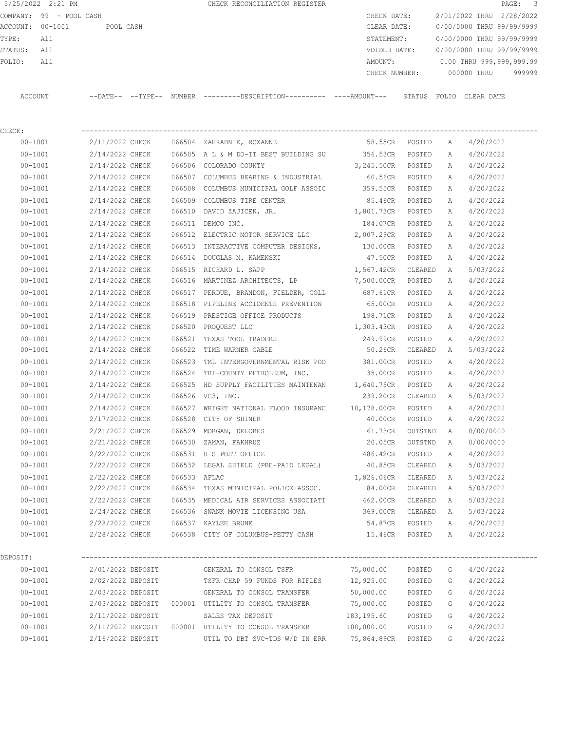|                  | 5/25/2022 2:21 PM       |                |          |        | CHECK RECONCILIATION REGISTER |               |        |                           |            | PAGE: 3 |  |
|------------------|-------------------------|----------------|----------|--------|-------------------------------|---------------|--------|---------------------------|------------|---------|--|
|                  | COMPANY: 99 - POOL CASH |                |          |        |                               | CHECK DATE:   |        | 2/01/2022 THRU 2/28/2022  |            |         |  |
| ACCOUNT: 00-1001 |                         | POOL CASH      |          |        |                               | CLEAR DATE:   |        | 0/00/0000 THRU 99/99/9999 |            |         |  |
| TYPE:            | All                     |                |          |        |                               | STATEMENT:    |        | 0/00/0000 THRU 99/99/9999 |            |         |  |
| STATUS:          | All                     |                |          |        |                               | VOIDED DATE:  |        | 0/00/0000 THRU 99/99/9999 |            |         |  |
| FOLIO:           | All                     |                |          |        |                               | AMOUNT:       |        | 0.00 THRU 999,999,999.99  |            |         |  |
|                  |                         |                |          |        |                               | CHECK NUMBER: |        | 000000 THRU               |            | 999999  |  |
|                  |                         |                |          |        |                               |               |        |                           |            |         |  |
| ACCOUNT          |                         | $--$ DATE $--$ | --TYPE-- | NUMBER |                               |               | STATUS | FOLIO                     | CLEAR DATE |         |  |
|                  |                         |                |          |        |                               |               |        |                           |            |         |  |

| CHECK:      |                   |              |                                                   |                    |         |              |           |
|-------------|-------------------|--------------|---------------------------------------------------|--------------------|---------|--------------|-----------|
| $00 - 1001$ | 2/11/2022 CHECK   |              | 066504 ZAHRADNIK, ROXANNE                         | 58.55CR POSTED     |         | A            | 4/20/2022 |
| $00 - 1001$ | 2/14/2022 CHECK   |              | 066505 A L & M DO-IT BEST BUILDING SU 356.53CR    |                    | POSTED  | $\mathbb{A}$ | 4/20/2022 |
| $00 - 1001$ | 2/14/2022 CHECK   |              | 066506 COLORADO COUNTY                            | 3,245.50CR         | POSTED  | A            | 4/20/2022 |
| $00 - 1001$ | 2/14/2022 CHECK   |              | 066507 COLUMBUS BEARING & INDUSTRIAL              | 60.56CR POSTED     |         | A            | 4/20/2022 |
| $00 - 1001$ | 2/14/2022 CHECK   |              | 066508 COLUMBUS MUNICIPAL GOLF ASSOIC             | 359.55CR POSTED    |         | A            | 4/20/2022 |
| $00 - 1001$ | 2/14/2022 CHECK   |              | 066509 COLUMBUS TIRE CENTER                       | 85.46CR            | POSTED  | A            | 4/20/2022 |
| $00 - 1001$ | 2/14/2022 CHECK   |              | 066510 DAVID ZAJICEK, JR.                         | 1,801.73CR         | POSTED  | A            | 4/20/2022 |
| $00 - 1001$ | 2/14/2022 CHECK   |              | 066511 DEMCO INC.                                 | 184.07CR           | POSTED  | A            | 4/20/2022 |
| $00 - 1001$ | 2/14/2022 CHECK   |              | 066512 ELECTRIC MOTOR SERVICE LLC                 | 2,007.29CR         | POSTED  | A            | 4/20/2022 |
| $00 - 1001$ | 2/14/2022 CHECK   |              | 066513 INTERACTIVE COMPUTER DESIGNS,              | 130.00CR           | POSTED  | Α            | 4/20/2022 |
| $00 - 1001$ | 2/14/2022 CHECK   |              | 066514 DOUGLAS M. KAMENSKI                        | 47.50CR            | POSTED  | A            | 4/20/2022 |
| $00 - 1001$ | 2/14/2022 CHECK   | 066515       | RICHARD L. SAPP                                   | 1,567.42CR         | CLEARED | A            | 5/03/2022 |
| $00 - 1001$ | 2/14/2022 CHECK   |              | 066516 MARTINEZ ARCHITECTS, LP                    | 7,500.00CR         | POSTED  | Α            | 4/20/2022 |
| $00 - 1001$ | 2/14/2022 CHECK   |              | 066517 PERDUE, BRANDON, FIELDER, COLL             | 687.61CR           | POSTED  | A            | 4/20/2022 |
| $00 - 1001$ | 2/14/2022 CHECK   |              | 066518 PIPELINE ACCIDENTS PREVENTION              | 65.00CR            | POSTED  | A            | 4/20/2022 |
| $00 - 1001$ | 2/14/2022 CHECK   |              | 066519 PRESTIGE OFFICE PRODUCTS                   | 198.71CR           | POSTED  | Α            | 4/20/2022 |
| $00 - 1001$ | 2/14/2022 CHECK   |              | 066520 PROQUEST LLC                               | 1,303.43CR         | POSTED  | A            | 4/20/2022 |
| $00 - 1001$ | 2/14/2022 CHECK   | 066521       | TEXAS TOOL TRADERS                                | 249.99CR           | POSTED  | Α            | 4/20/2022 |
| $00 - 1001$ | 2/14/2022 CHECK   |              | 066522 TIME WARNER CABLE                          | 50.26CR            | CLEARED | A            | 5/03/2022 |
| $00 - 1001$ | 2/14/2022 CHECK   | 066523       | TML INTERGOVERNMENTAL RISK POO                    | 381.00CR           | POSTED  | A            | 4/20/2022 |
| $00 - 1001$ | 2/14/2022 CHECK   |              | 066524 TRI-COUNTY PETROLEUM, INC.                 | 35.00CR            | POSTED  | A            | 4/20/2022 |
| $00 - 1001$ | 2/14/2022 CHECK   | 066525       | HD SUPPLY FACILITIES MAINTENAN 1,640.75CR         |                    | POSTED  | Α            | 4/20/2022 |
| $00 - 1001$ | 2/14/2022 CHECK   |              | 066526 VC3, INC.                                  | 239.20CR CLEARED   |         | A            | 5/03/2022 |
| $00 - 1001$ | 2/14/2022 CHECK   |              | 066527 WRIGHT NATIONAL FLOOD INSURANC 10,178.00CR |                    | POSTED  | A            | 4/20/2022 |
| $00 - 1001$ | 2/17/2022 CHECK   | 066528       | CITY OF SHINER                                    | 40.00CR            | POSTED  | A            | 4/20/2022 |
| $00 - 1001$ | 2/21/2022 CHECK   |              | 066529 MORGAN, DELORES                            | 61.73CR            | OUTSTND | A            | 0/00/0000 |
| $00 - 1001$ | 2/21/2022 CHECK   | 066530       | ZAMAN, FAKHRUZ                                    | 20.05CR            | OUTSTND | A            | 0/00/0000 |
| $00 - 1001$ | 2/22/2022 CHECK   |              | 066531 U S POST OFFICE                            | 486.42CR POSTED    |         | Α            | 4/20/2022 |
| $00 - 1001$ | 2/22/2022 CHECK   |              | 066532 LEGAL SHIELD (PRE-PAID LEGAL)              | 40.85CR CLEARED    |         | A            | 5/03/2022 |
| $00 - 1001$ | 2/22/2022 CHECK   | 066533 AFLAC |                                                   | 1,826.06CR CLEARED |         | A            | 5/03/2022 |
| $00 - 1001$ | 2/22/2022 CHECK   |              | 066534 TEXAS MUNICIPAL POLICE ASSOC.              | 84.00CR            | CLEARED | A            | 5/03/2022 |
| $00 - 1001$ | 2/22/2022 CHECK   |              | 066535 MEDICAL AIR SERVICES ASSOCIATI             | 462.00CR           | CLEARED | A            | 5/03/2022 |
| $00 - 1001$ | 2/24/2022 CHECK   |              | 066536 SWANK MOVIE LICENSING USA                  | 369.00CR CLEARED   |         | A            | 5/03/2022 |
| $00 - 1001$ | 2/28/2022 CHECK   |              | 066537 KAYLEE BRUNE                               | 54.87CR            | POSTED  | A            | 4/20/2022 |
| $00 - 1001$ | 2/28/2022 CHECK   |              | 066538 CITY OF COLUMBUS-PETTY CASH                | 15.46CR POSTED A   |         |              | 4/20/2022 |
| DEPOSIT:    |                   |              |                                                   |                    |         |              |           |
| $00 - 1001$ | 2/01/2022 DEPOSIT |              | GENERAL TO CONSOL TSFR                            | 75,000.00          | POSTED  | G            | 4/20/2022 |
| $00 - 1001$ | 2/02/2022 DEPOSIT |              | TSFR CHAP 59 FUNDS FOR RIFLES                     | 12,925.00          | POSTED  | G            | 4/20/2022 |
| $00 - 1001$ | 2/03/2022 DEPOSIT |              | GENERAL TO CONSOL TRANSFER                        | 50,000.00          | POSTED  | G            | 4/20/2022 |
| $00 - 1001$ | 2/03/2022 DEPOSIT |              | 000001 UTILITY TO CONSOL TRANSFER                 | 75,000.00          | POSTED  | G            | 4/20/2022 |

 00-1001 2/11/2022 DEPOSIT SALES TAX DEPOSIT 183,195.60 POSTED G 4/20/2022 00-1001 2/11/2022 DEPOSIT 000001 UTILITY TO CONSOL TRANSFER 100,000.00 POSTED G 4/20/2022 00-1001 2/16/2022 DEPOSIT UTIL TO DBT SVC-TDS W/D IN ERR 75,864.89CR POSTED G 4/20/2022